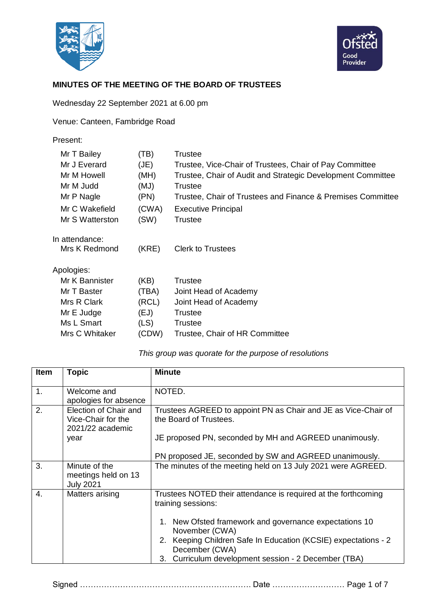



## **MINUTES OF THE MEETING OF THE BOARD OF TRUSTEES**

Wednesday 22 September 2021 at 6.00 pm

Venue: Canteen, Fambridge Road

| Present:                                                |                              |                                                                                                                                              |
|---------------------------------------------------------|------------------------------|----------------------------------------------------------------------------------------------------------------------------------------------|
| Mr T Bailey<br>Mr J Everard<br>Mr M Howell<br>Mr M Judd | (TB)<br>(JE)<br>(MH)<br>(MJ) | Trustee<br>Trustee, Vice-Chair of Trustees, Chair of Pay Committee<br>Trustee, Chair of Audit and Strategic Development Committee<br>Trustee |
| Mr P Nagle                                              | (PN)                         | Trustee, Chair of Trustees and Finance & Premises Committee                                                                                  |
| Mr C Wakefield                                          | (CWA)                        | <b>Executive Principal</b>                                                                                                                   |
| Mr S Watterston                                         | (SW)                         | Trustee                                                                                                                                      |
| In attendance:<br>Mrs K Redmond                         | (KRE)                        | <b>Clerk to Trustees</b>                                                                                                                     |
| Apologies:                                              |                              |                                                                                                                                              |
| Mr K Bannister                                          | (KB)                         | <b>Trustee</b>                                                                                                                               |
| Mr T Baster                                             | (TBA)                        | Joint Head of Academy                                                                                                                        |
| Mrs R Clark                                             | (RCL)                        | Joint Head of Academy                                                                                                                        |
| Mr E Judge                                              | (EJ)                         | Trustee                                                                                                                                      |
| Ms L Smart                                              | (LS)                         | Trustee                                                                                                                                      |
| Mrs C Whitaker                                          | (CDW)                        | Trustee, Chair of HR Committee                                                                                                               |
|                                                         |                              |                                                                                                                                              |

## *This group was quorate for the purpose of resolutions*

| <b>Item</b>      | <b>Topic</b>                                                            | <b>Minute</b>                                                                                                                                                                                                                                           |
|------------------|-------------------------------------------------------------------------|---------------------------------------------------------------------------------------------------------------------------------------------------------------------------------------------------------------------------------------------------------|
| 1.               | Welcome and<br>apologies for absence                                    | NOTED.                                                                                                                                                                                                                                                  |
| 2.               | Election of Chair and<br>Vice-Chair for the<br>2021/22 academic<br>year | Trustees AGREED to appoint PN as Chair and JE as Vice-Chair of<br>the Board of Trustees.<br>JE proposed PN, seconded by MH and AGREED unanimously.                                                                                                      |
|                  |                                                                         | PN proposed JE, seconded by SW and AGREED unanimously.                                                                                                                                                                                                  |
| 3.               | Minute of the<br>meetings held on 13<br><b>July 2021</b>                | The minutes of the meeting held on 13 July 2021 were AGREED.                                                                                                                                                                                            |
| $\overline{4}$ . | Matters arising                                                         | Trustees NOTED their attendance is required at the forthcoming<br>training sessions:<br>New Ofsted framework and governance expectations 10<br>1.<br>November (CWA)<br>2. Keeping Children Safe In Education (KCSIE) expectations - 2<br>December (CWA) |
|                  |                                                                         | Curriculum development session - 2 December (TBA)<br>3.                                                                                                                                                                                                 |

Signed ………………………………………………………. Date ……………………… Page 1 of 7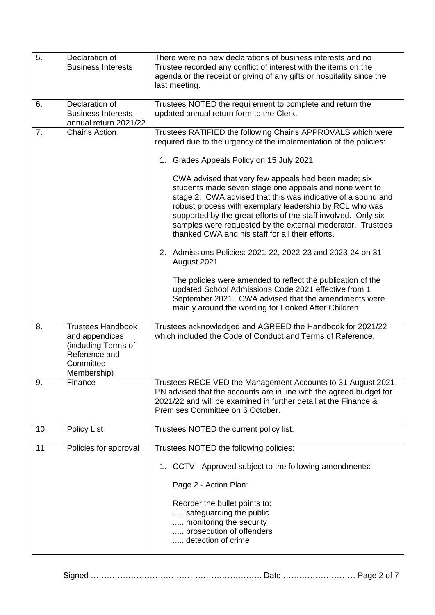| 5.  | Declaration of<br><b>Business Interests</b>                                                                    | There were no new declarations of business interests and no<br>Trustee recorded any conflict of interest with the items on the<br>agenda or the receipt or giving of any gifts or hospitality since the<br>last meeting.                                                                                                                                                                                                                                                                                                                                                                                                                                                                                                                                                                                                                                                                                                            |  |
|-----|----------------------------------------------------------------------------------------------------------------|-------------------------------------------------------------------------------------------------------------------------------------------------------------------------------------------------------------------------------------------------------------------------------------------------------------------------------------------------------------------------------------------------------------------------------------------------------------------------------------------------------------------------------------------------------------------------------------------------------------------------------------------------------------------------------------------------------------------------------------------------------------------------------------------------------------------------------------------------------------------------------------------------------------------------------------|--|
| 6.  | Declaration of<br>Business Interests -<br>annual return 2021/22                                                | Trustees NOTED the requirement to complete and return the<br>updated annual return form to the Clerk.                                                                                                                                                                                                                                                                                                                                                                                                                                                                                                                                                                                                                                                                                                                                                                                                                               |  |
| 7.  | Chair's Action                                                                                                 | Trustees RATIFIED the following Chair's APPROVALS which were<br>required due to the urgency of the implementation of the policies:<br>1. Grades Appeals Policy on 15 July 2021<br>CWA advised that very few appeals had been made; six<br>students made seven stage one appeals and none went to<br>stage 2. CWA advised that this was indicative of a sound and<br>robust process with exemplary leadership by RCL who was<br>supported by the great efforts of the staff involved. Only six<br>samples were requested by the external moderator. Trustees<br>thanked CWA and his staff for all their efforts.<br>2. Admissions Policies: 2021-22, 2022-23 and 2023-24 on 31<br>August 2021<br>The policies were amended to reflect the publication of the<br>updated School Admissions Code 2021 effective from 1<br>September 2021. CWA advised that the amendments were<br>mainly around the wording for Looked After Children. |  |
| 8.  | <b>Trustees Handbook</b><br>and appendices<br>(including Terms of<br>Reference and<br>Committee<br>Membership) | Trustees acknowledged and AGREED the Handbook for 2021/22<br>which included the Code of Conduct and Terms of Reference.                                                                                                                                                                                                                                                                                                                                                                                                                                                                                                                                                                                                                                                                                                                                                                                                             |  |
| 9.  | Finance                                                                                                        | Trustees RECEIVED the Management Accounts to 31 August 2021.<br>PN advised that the accounts are in line with the agreed budget for<br>2021/22 and will be examined in further detail at the Finance &<br>Premises Committee on 6 October.                                                                                                                                                                                                                                                                                                                                                                                                                                                                                                                                                                                                                                                                                          |  |
| 10. | <b>Policy List</b>                                                                                             | Trustees NOTED the current policy list.                                                                                                                                                                                                                                                                                                                                                                                                                                                                                                                                                                                                                                                                                                                                                                                                                                                                                             |  |
| 11  | Policies for approval                                                                                          | Trustees NOTED the following policies:<br>1. CCTV - Approved subject to the following amendments:<br>Page 2 - Action Plan:<br>Reorder the bullet points to:<br>safeguarding the public<br>monitoring the security<br>prosecution of offenders<br>detection of crime                                                                                                                                                                                                                                                                                                                                                                                                                                                                                                                                                                                                                                                                 |  |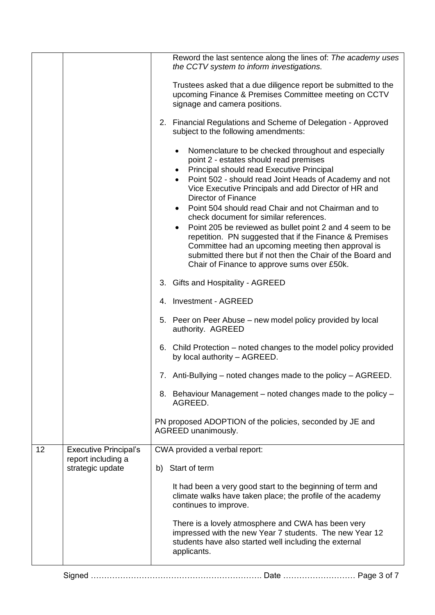|    |                                        | Reword the last sentence along the lines of: The academy uses<br>the CCTV system to inform investigations.                                                                                                                                                                                                                                                                                                                                                                                                                                                                                                                                                                             |
|----|----------------------------------------|----------------------------------------------------------------------------------------------------------------------------------------------------------------------------------------------------------------------------------------------------------------------------------------------------------------------------------------------------------------------------------------------------------------------------------------------------------------------------------------------------------------------------------------------------------------------------------------------------------------------------------------------------------------------------------------|
|    |                                        | Trustees asked that a due diligence report be submitted to the<br>upcoming Finance & Premises Committee meeting on CCTV<br>signage and camera positions.                                                                                                                                                                                                                                                                                                                                                                                                                                                                                                                               |
|    |                                        | 2. Financial Regulations and Scheme of Delegation - Approved<br>subject to the following amendments:                                                                                                                                                                                                                                                                                                                                                                                                                                                                                                                                                                                   |
|    |                                        | Nomenclature to be checked throughout and especially<br>point 2 - estates should read premises<br><b>Principal should read Executive Principal</b><br>Point 502 - should read Joint Heads of Academy and not<br>Vice Executive Principals and add Director of HR and<br>Director of Finance<br>Point 504 should read Chair and not Chairman and to<br>check document for similar references.<br>Point 205 be reviewed as bullet point 2 and 4 seem to be<br>repetition. PN suggested that if the Finance & Premises<br>Committee had an upcoming meeting then approval is<br>submitted there but if not then the Chair of the Board and<br>Chair of Finance to approve sums over £50k. |
|    |                                        | 3. Gifts and Hospitality - AGREED                                                                                                                                                                                                                                                                                                                                                                                                                                                                                                                                                                                                                                                      |
|    |                                        | 4. Investment - AGREED                                                                                                                                                                                                                                                                                                                                                                                                                                                                                                                                                                                                                                                                 |
|    |                                        | 5. Peer on Peer Abuse – new model policy provided by local<br>authority. AGREED                                                                                                                                                                                                                                                                                                                                                                                                                                                                                                                                                                                                        |
|    |                                        | 6. Child Protection – noted changes to the model policy provided<br>by local authority - AGREED.                                                                                                                                                                                                                                                                                                                                                                                                                                                                                                                                                                                       |
|    |                                        | 7. Anti-Bullying – noted changes made to the policy – AGREED.                                                                                                                                                                                                                                                                                                                                                                                                                                                                                                                                                                                                                          |
|    |                                        | 8. Behaviour Management – noted changes made to the policy –<br>AGREED.                                                                                                                                                                                                                                                                                                                                                                                                                                                                                                                                                                                                                |
|    |                                        | PN proposed ADOPTION of the policies, seconded by JE and<br>AGREED unanimously.                                                                                                                                                                                                                                                                                                                                                                                                                                                                                                                                                                                                        |
| 12 | <b>Executive Principal's</b>           | CWA provided a verbal report:                                                                                                                                                                                                                                                                                                                                                                                                                                                                                                                                                                                                                                                          |
|    | report including a<br>strategic update | b) Start of term                                                                                                                                                                                                                                                                                                                                                                                                                                                                                                                                                                                                                                                                       |
|    |                                        | It had been a very good start to the beginning of term and<br>climate walks have taken place; the profile of the academy<br>continues to improve.                                                                                                                                                                                                                                                                                                                                                                                                                                                                                                                                      |
|    |                                        | There is a lovely atmosphere and CWA has been very<br>impressed with the new Year 7 students. The new Year 12<br>students have also started well including the external<br>applicants.                                                                                                                                                                                                                                                                                                                                                                                                                                                                                                 |
|    |                                        |                                                                                                                                                                                                                                                                                                                                                                                                                                                                                                                                                                                                                                                                                        |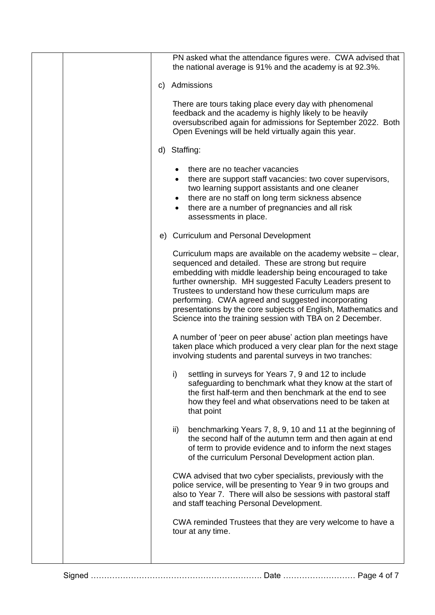|    | PN asked what the attendance figures were. CWA advised that<br>the national average is 91% and the academy is at 92.3%.                                                                                                                                                                                                                                                                                                                                                                       |  |
|----|-----------------------------------------------------------------------------------------------------------------------------------------------------------------------------------------------------------------------------------------------------------------------------------------------------------------------------------------------------------------------------------------------------------------------------------------------------------------------------------------------|--|
| C) | Admissions                                                                                                                                                                                                                                                                                                                                                                                                                                                                                    |  |
|    | There are tours taking place every day with phenomenal<br>feedback and the academy is highly likely to be heavily<br>oversubscribed again for admissions for September 2022. Both<br>Open Evenings will be held virtually again this year.                                                                                                                                                                                                                                                    |  |
|    | d) Staffing:                                                                                                                                                                                                                                                                                                                                                                                                                                                                                  |  |
|    | there are no teacher vacancies<br>there are support staff vacancies: two cover supervisors,<br>two learning support assistants and one cleaner<br>there are no staff on long term sickness absence<br>there are a number of pregnancies and all risk<br>assessments in place.                                                                                                                                                                                                                 |  |
|    | e) Curriculum and Personal Development                                                                                                                                                                                                                                                                                                                                                                                                                                                        |  |
|    | Curriculum maps are available on the academy website – clear,<br>sequenced and detailed. These are strong but require<br>embedding with middle leadership being encouraged to take<br>further ownership. MH suggested Faculty Leaders present to<br>Trustees to understand how these curriculum maps are<br>performing. CWA agreed and suggested incorporating<br>presentations by the core subjects of English, Mathematics and<br>Science into the training session with TBA on 2 December. |  |
|    | A number of 'peer on peer abuse' action plan meetings have<br>taken place which produced a very clear plan for the next stage<br>involving students and parental surveys in two tranches:                                                                                                                                                                                                                                                                                                     |  |
|    | i) settling in surveys for Years 7, 9 and 12 to include<br>safeguarding to benchmark what they know at the start of<br>the first half-term and then benchmark at the end to see<br>how they feel and what observations need to be taken at<br>that point                                                                                                                                                                                                                                      |  |
|    | benchmarking Years 7, 8, 9, 10 and 11 at the beginning of<br>ii)<br>the second half of the autumn term and then again at end<br>of term to provide evidence and to inform the next stages<br>of the curriculum Personal Development action plan.                                                                                                                                                                                                                                              |  |
|    | CWA advised that two cyber specialists, previously with the<br>police service, will be presenting to Year 9 in two groups and<br>also to Year 7. There will also be sessions with pastoral staff<br>and staff teaching Personal Development.                                                                                                                                                                                                                                                  |  |
|    | CWA reminded Trustees that they are very welcome to have a<br>tour at any time.                                                                                                                                                                                                                                                                                                                                                                                                               |  |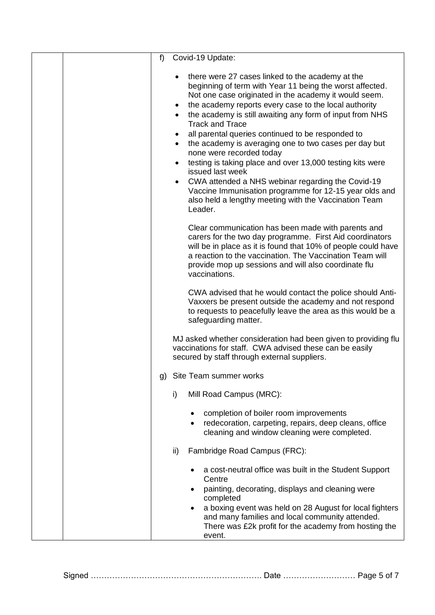| f | Covid-19 Update:                                                                                                                                                                                                                                                                                                                       |
|---|----------------------------------------------------------------------------------------------------------------------------------------------------------------------------------------------------------------------------------------------------------------------------------------------------------------------------------------|
|   | there were 27 cases linked to the academy at the<br>beginning of term with Year 11 being the worst affected.<br>Not one case originated in the academy it would seem.<br>the academy reports every case to the local authority<br>٠<br>the academy is still awaiting any form of input from NHS<br>$\bullet$<br><b>Track and Trace</b> |
|   | all parental queries continued to be responded to<br>the academy is averaging one to two cases per day but<br>$\bullet$<br>none were recorded today                                                                                                                                                                                    |
|   | testing is taking place and over 13,000 testing kits were<br>issued last week                                                                                                                                                                                                                                                          |
|   | CWA attended a NHS webinar regarding the Covid-19<br>Vaccine Immunisation programme for 12-15 year olds and<br>also held a lengthy meeting with the Vaccination Team<br>Leader.                                                                                                                                                        |
|   | Clear communication has been made with parents and<br>carers for the two day programme. First Aid coordinators<br>will be in place as it is found that 10% of people could have<br>a reaction to the vaccination. The Vaccination Team will<br>provide mop up sessions and will also coordinate flu<br>vaccinations.                   |
|   | CWA advised that he would contact the police should Anti-<br>Vaxxers be present outside the academy and not respond<br>to requests to peacefully leave the area as this would be a<br>safeguarding matter.                                                                                                                             |
|   | MJ asked whether consideration had been given to providing flu<br>vaccinations for staff. CWA advised these can be easily<br>secured by staff through external suppliers.                                                                                                                                                              |
|   | g) Site Team summer works                                                                                                                                                                                                                                                                                                              |
|   | i)<br>Mill Road Campus (MRC):                                                                                                                                                                                                                                                                                                          |
|   | completion of boiler room improvements<br>redecoration, carpeting, repairs, deep cleans, office<br>cleaning and window cleaning were completed.                                                                                                                                                                                        |
|   | Fambridge Road Campus (FRC):<br>ii)                                                                                                                                                                                                                                                                                                    |
|   | a cost-neutral office was built in the Student Support<br>Centre<br>painting, decorating, displays and cleaning were                                                                                                                                                                                                                   |
|   | completed<br>a boxing event was held on 28 August for local fighters<br>٠<br>and many families and local community attended.<br>There was £2k profit for the academy from hosting the<br>event.                                                                                                                                        |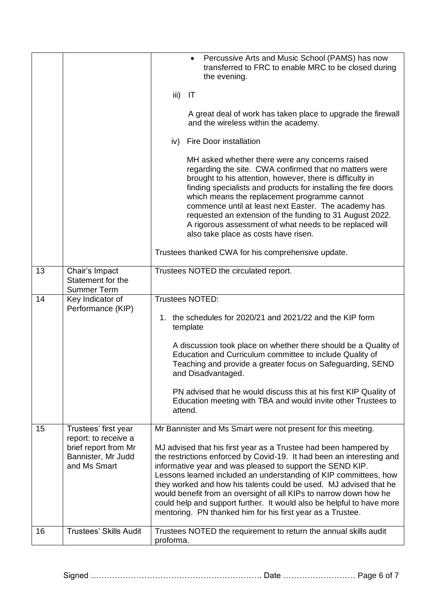|    |                                                            | Percussive Arts and Music School (PAMS) has now<br>transferred to FRC to enable MRC to be closed during<br>the evening.                                                                                                                                                                                                                                                                                                                                                                                                                                     |
|----|------------------------------------------------------------|-------------------------------------------------------------------------------------------------------------------------------------------------------------------------------------------------------------------------------------------------------------------------------------------------------------------------------------------------------------------------------------------------------------------------------------------------------------------------------------------------------------------------------------------------------------|
|    |                                                            | iii)<br>IT                                                                                                                                                                                                                                                                                                                                                                                                                                                                                                                                                  |
|    |                                                            | A great deal of work has taken place to upgrade the firewall<br>and the wireless within the academy.                                                                                                                                                                                                                                                                                                                                                                                                                                                        |
|    |                                                            | <b>Fire Door installation</b><br>iv)                                                                                                                                                                                                                                                                                                                                                                                                                                                                                                                        |
|    |                                                            | MH asked whether there were any concerns raised<br>regarding the site. CWA confirmed that no matters were<br>brought to his attention, however, there is difficulty in<br>finding specialists and products for installing the fire doors<br>which means the replacement programme cannot<br>commence until at least next Easter. The academy has<br>requested an extension of the funding to 31 August 2022.<br>A rigorous assessment of what needs to be replaced will<br>also take place as costs have risen.                                             |
|    |                                                            | Trustees thanked CWA for his comprehensive update.                                                                                                                                                                                                                                                                                                                                                                                                                                                                                                          |
| 13 | Chair's Impact<br>Statement for the<br><b>Summer Term</b>  | Trustees NOTED the circulated report.                                                                                                                                                                                                                                                                                                                                                                                                                                                                                                                       |
| 14 | Key Indicator of<br>Performance (KIP)                      | Trustees NOTED:                                                                                                                                                                                                                                                                                                                                                                                                                                                                                                                                             |
|    |                                                            | 1. the schedules for 2020/21 and 2021/22 and the KIP form<br>template                                                                                                                                                                                                                                                                                                                                                                                                                                                                                       |
|    |                                                            | A discussion took place on whether there should be a Quality of<br>Education and Curriculum committee to include Quality of<br>Teaching and provide a greater focus on Safeguarding, SEND<br>and Disadvantaged.                                                                                                                                                                                                                                                                                                                                             |
|    |                                                            | PN advised that he would discuss this at his first KIP Quality of<br>Education meeting with TBA and would invite other Trustees to<br>attend.                                                                                                                                                                                                                                                                                                                                                                                                               |
| 15 | Trustees' first year<br>report: to receive a               | Mr Bannister and Ms Smart were not present for this meeting.                                                                                                                                                                                                                                                                                                                                                                                                                                                                                                |
|    | brief report from Mr<br>Bannister, Mr Judd<br>and Ms Smart | MJ advised that his first year as a Trustee had been hampered by<br>the restrictions enforced by Covid-19. It had been an interesting and<br>informative year and was pleased to support the SEND KIP.<br>Lessons learned included an understanding of KIP committees, how<br>they worked and how his talents could be used. MJ advised that he<br>would benefit from an oversight of all KIPs to narrow down how he<br>could help and support further. It would also be helpful to have more<br>mentoring. PN thanked him for his first year as a Trustee. |
| 16 | <b>Trustees' Skills Audit</b>                              | Trustees NOTED the requirement to return the annual skills audit<br>proforma.                                                                                                                                                                                                                                                                                                                                                                                                                                                                               |